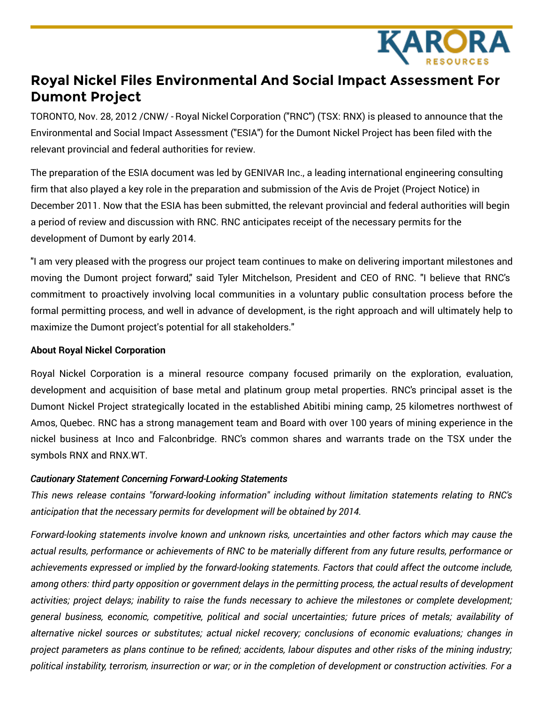

## **Royal Nickel Files Environmental And Social Impact Assessment For Dumont Project**

TORONTO, Nov. 28, 2012 /CNW/ - Royal Nickel Corporation ("RNC") (TSX: RNX) is pleased to announce that the Environmental and Social Impact Assessment ("ESIA") for the Dumont Nickel Project has been filed with the relevant provincial and federal authorities for review.

The preparation of the ESIA document was led by GENIVAR Inc., a leading international engineering consulting firm that also played a key role in the preparation and submission of the Avis de Projet (Project Notice) in December 2011. Now that the ESIA has been submitted, the relevant provincial and federal authorities will begin a period of review and discussion with RNC. RNC anticipates receipt of the necessary permits for the development of Dumont by early 2014.

"I am very pleased with the progress our project team continues to make on delivering important milestones and moving the Dumont project forward," said Tyler Mitchelson, President and CEO of RNC. "I believe that RNC's commitment to proactively involving local communities in a voluntary public consultation process before the formal permitting process, and well in advance of development, is the right approach and will ultimately help to maximize the Dumont project's potential for all stakeholders."

## **About Royal Nickel Corporation**

Royal Nickel Corporation is a mineral resource company focused primarily on the exploration, evaluation, development and acquisition of base metal and platinum group metal properties. RNC's principal asset is the Dumont Nickel Project strategically located in the established Abitibi mining camp, 25 kilometres northwest of Amos, Quebec. RNC has a strong management team and Board with over 100 years of mining experience in the nickel business at Inco and Falconbridge. RNC's common shares and warrants trade on the TSX under the symbols RNX and RNX.WT.

## *Cautionary Statement Concerning Forward-Looking Statements*

*This news release contains "forward-looking information" including without limitation statements relating to RNC's anticipation that the necessary permits for development will be obtained by 2014.*

*Forward-looking statements involve known and unknown risks, uncertainties and other factors which may cause the* actual results, performance or achievements of RNC to be materially different from any future results, performance or *achievements expressed or implied by the forward-looking statements. Factors that could affect the outcome include,* among others: third party opposition or government delays in the permitting process, the actual results of development activities; project delays; inability to raise the funds necessary to achieve the milestones or complete development; *general business, economic, competitive, political and social uncertainties; future prices of metals; availability of alternative nickel sources or substitutes; actual nickel recovery; conclusions of economic evaluations; changes in* project parameters as plans continue to be refined; accidents, labour disputes and other risks of the mining industry; political instability, terrorism, insurrection or war; or in the completion of development or construction activities. For a